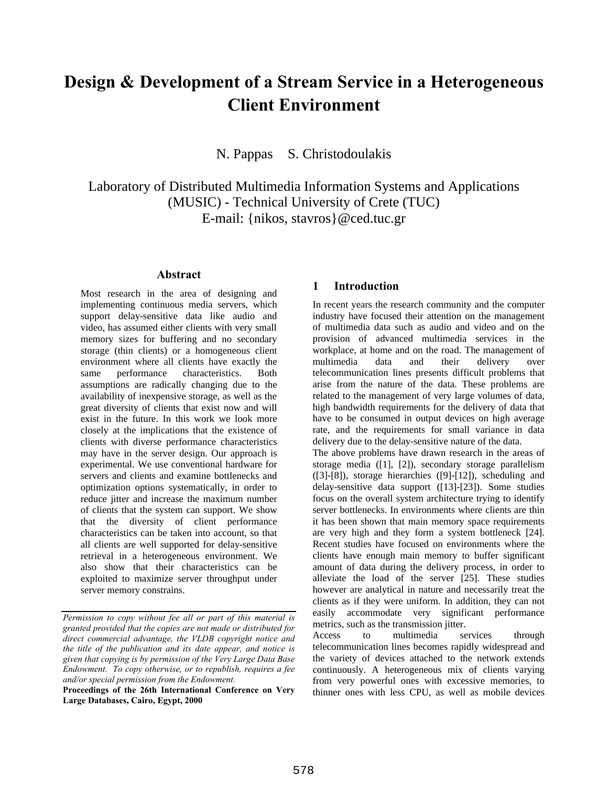# **Design & Development of a Stream Service in a Heterogeneous Client Environment**

N. Pappas S. Christodoulakis

Laboratory of Distributed Multimedia Information Systems and Applications (MUSIC) - Technical University of Crete (TUC) E-mail: {nikos, stavros}@ced.tuc.gr

#### **Abstract**

Most research in the area of designing and implementing continuous media servers, which support delay-sensitive data like audio and video, has assumed either clients with very small memory sizes for buffering and no secondary storage (thin clients) or a homogeneous client environment where all clients have exactly the same performance characteristics. Both assumptions are radically changing due to the availability of inexpensive storage, as well as the great diversity of clients that exist now and will exist in the future. In this work we look more closely at the implications that the existence of clients with diverse performance characteristics may have in the server design. Our approach is experimental. We use conventional hardware for servers and clients and examine bottlenecks and optimization options systematically, in order to reduce jitter and increase the maximum number of clients that the system can support. We show that the diversity of client performance characteristics can be taken into account, so that all clients are well supported for delay-sensitive retrieval in a heterogeneous environment. We also show that their characteristics can be exploited to maximize server throughput under server memory constrains.

# **1 Introduction**

In recent years the research community and the computer industry have focused their attention on the management of multimedia data such as audio and video and on the provision of advanced multimedia services in the workplace, at home and on the road. The management of multimedia data and their delivery over telecommunication lines presents difficult problems that arise from the nature of the data. These problems are related to the management of very large volumes of data, high bandwidth requirements for the delivery of data that have to be consumed in output devices on high average rate, and the requirements for small variance in data delivery due to the delay-sensitive nature of the data.

The above problems have drawn research in the areas of storage media ([1], [2]), secondary storage parallelism ([3]-[8]), storage hierarchies ([9]-[12]), scheduling and delay-sensitive data support ([13]-[23]). Some studies focus on the overall system architecture trying to identify server bottlenecks. In environments where clients are thin it has been shown that main memory space requirements are very high and they form a system bottleneck [24]. Recent studies have focused on environments where the clients have enough main memory to buffer significant amount of data during the delivery process, in order to alleviate the load of the server [25]. These studies however are analytical in nature and necessarily treat the clients as if they were uniform. In addition, they can not easily accommodate very significant performance metrics, such as the transmission jitter.

Access to multimedia services through telecommunication lines becomes rapidly widespread and the variety of devices attached to the network extends continuously. A heterogeneous mix of clients varying from very powerful ones with excessive memories, to thinner ones with less CPU, as well as mobile devices

*Permission to copy without fee all or part of this material is granted provided that the copies are not made or distributed for direct commercial advantage, the VLDB copyright notice and the title of the publication and its date appear, and notice is given that copying is by permission of the Very Large Data Base Endowment. To copy otherwise, or to republish, requires a fee and/or special permission from the Endowment.*

**Proceedings of the 26th International Conference on Very Large Databases, Cairo, Egypt, 2000**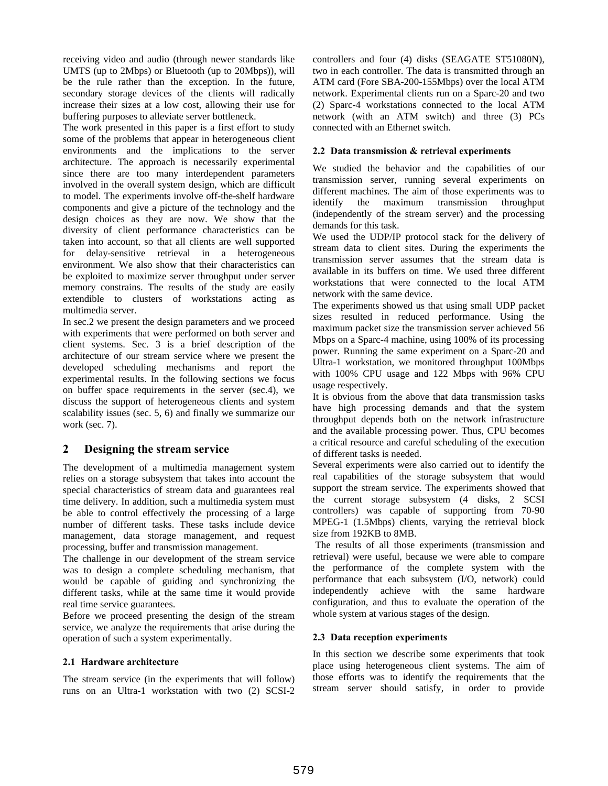receiving video and audio (through newer standards like UMTS (up to 2Mbps) or Bluetooth (up to 20Mbps)), will be the rule rather than the exception. In the future, secondary storage devices of the clients will radically increase their sizes at a low cost, allowing their use for buffering purposes to alleviate server bottleneck.

The work presented in this paper is a first effort to study some of the problems that appear in heterogeneous client environments and the implications to the server architecture. The approach is necessarily experimental since there are too many interdependent parameters involved in the overall system design, which are difficult to model. The experiments involve off-the-shelf hardware components and give a picture of the technology and the design choices as they are now. We show that the diversity of client performance characteristics can be taken into account, so that all clients are well supported for delay-sensitive retrieval in a heterogeneous environment. We also show that their characteristics can be exploited to maximize server throughput under server memory constrains. The results of the study are easily extendible to clusters of workstations acting as multimedia server.

In sec.2 we present the design parameters and we proceed with experiments that were performed on both server and client systems. Sec. 3 is a brief description of the architecture of our stream service where we present the developed scheduling mechanisms and report the experimental results. In the following sections we focus on buffer space requirements in the server (sec.4), we discuss the support of heterogeneous clients and system scalability issues (sec. 5, 6) and finally we summarize our work (sec. 7).

# **2 Designing the stream service**

The development of a multimedia management system relies on a storage subsystem that takes into account the special characteristics of stream data and guarantees real time delivery. In addition, such a multimedia system must be able to control effectively the processing of a large number of different tasks. These tasks include device management, data storage management, and request processing, buffer and transmission management.

The challenge in our development of the stream service was to design a complete scheduling mechanism, that would be capable of guiding and synchronizing the different tasks, while at the same time it would provide real time service guarantees.

Before we proceed presenting the design of the stream service, we analyze the requirements that arise during the operation of such a system experimentally.

# **2.1 Hardware architecture**

The stream service (in the experiments that will follow) runs on an Ultra-1 workstation with two (2) SCSI-2 controllers and four (4) disks (SEAGATE ST51080N), two in each controller. The data is transmitted through an ATM card (Fore SBA-200-155Mbps) over the local ATM network. Experimental clients run on a Sparc-20 and two (2) Sparc-4 workstations connected to the local ATM network (with an ATM switch) and three (3) PCs connected with an Ethernet switch.

#### **2.2 Data transmission & retrieval experiments**

We studied the behavior and the capabilities of our transmission server, running several experiments on different machines. The aim of those experiments was to identify the maximum transmission throughput (independently of the stream server) and the processing demands for this task.

We used the UDP/IP protocol stack for the delivery of stream data to client sites. During the experiments the transmission server assumes that the stream data is available in its buffers on time. We used three different workstations that were connected to the local ATM network with the same device.

The experiments showed us that using small UDP packet sizes resulted in reduced performance. Using the maximum packet size the transmission server achieved 56 Mbps on a Sparc-4 machine, using 100% of its processing power. Running the same experiment on a Sparc-20 and Ultra-1 workstation, we monitored throughput 100Mbps with 100% CPU usage and 122 Mbps with 96% CPU usage respectively.

It is obvious from the above that data transmission tasks have high processing demands and that the system throughput depends both on the network infrastructure and the available processing power. Thus, CPU becomes a critical resource and careful scheduling of the execution of different tasks is needed.

Several experiments were also carried out to identify the real capabilities of the storage subsystem that would support the stream service. The experiments showed that the current storage subsystem (4 disks, 2 SCSI controllers) was capable of supporting from 70-90 MPEG-1 (1.5Mbps) clients, varying the retrieval block size from 192KB to 8MB.

 The results of all those experiments (transmission and retrieval) were useful, because we were able to compare the performance of the complete system with the performance that each subsystem (I/O, network) could independently achieve with the same hardware configuration, and thus to evaluate the operation of the whole system at various stages of the design.

#### **2.3 Data reception experiments**

In this section we describe some experiments that took place using heterogeneous client systems. The aim of those efforts was to identify the requirements that the stream server should satisfy, in order to provide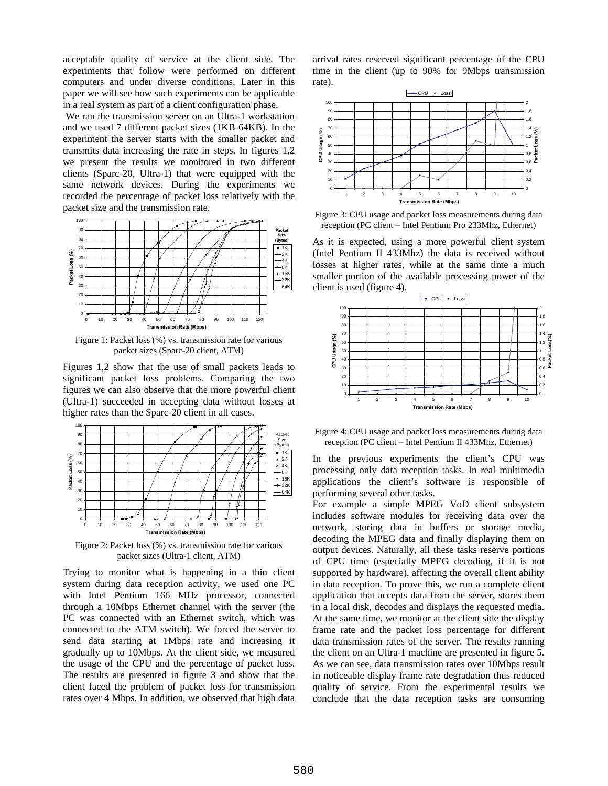acceptable quality of service at the client side. The experiments that follow were performed on different computers and under diverse conditions. Later in this paper we will see how such experiments can be applicable in a real system as part of a client configuration phase.

 We ran the transmission server on an Ultra-1 workstation and we used 7 different packet sizes (1KB-64KB). In the experiment the server starts with the smaller packet and transmits data increasing the rate in steps. In figures 1,2 we present the results we monitored in two different clients (Sparc-20, Ultra-1) that were equipped with the same network devices. During the experiments we recorded the percentage of packet loss relatively with the packet size and the transmission rate.



Figure 1: Packet loss (%) vs. transmission rate for various packet sizes (Sparc-20 client, ATM)

Figures 1,2 show that the use of small packets leads to significant packet loss problems. Comparing the two figures we can also observe that the more powerful client (Ultra-1) succeeded in accepting data without losses at higher rates than the Sparc-20 client in all cases.



Figure 2: Packet loss (%) vs. transmission rate for various packet sizes (Ultra-1 client, ATM)

Trying to monitor what is happening in a thin client system during data reception activity, we used one PC with Intel Pentium 166 MHz processor, connected through a 10Mbps Ethernet channel with the server (the PC was connected with an Ethernet switch, which was connected to the ATM switch). We forced the server to send data starting at 1Mbps rate and increasing it gradually up to 10Mbps. At the client side, we measured the usage of the CPU and the percentage of packet loss. The results are presented in figure 3 and show that the client faced the problem of packet loss for transmission rates over 4 Mbps. In addition, we observed that high data

arrival rates reserved significant percentage of the CPU time in the client (up to 90% for 9Mbps transmission rate).



Figure 3: CPU usage and packet loss measurements during data reception (PC client – Intel Pentium Pro 233Mhz, Ethernet)

As it is expected, using a more powerful client system (Intel Pentium II 433Mhz) the data is received without losses at higher rates, while at the same time a much smaller portion of the available processing power of the client is used (figure 4).



Figure 4: CPU usage and packet loss measurements during data reception (PC client – Intel Pentium II 433Mhz, Ethernet)

In the previous experiments the client's CPU was processing only data reception tasks. In real multimedia applications the client's software is responsible of performing several other tasks.

For example a simple MPEG VoD client subsystem includes software modules for receiving data over the network, storing data in buffers or storage media, decoding the MPEG data and finally displaying them on output devices. Naturally, all these tasks reserve portions of CPU time (especially MPEG decoding, if it is not supported by hardware), affecting the overall client ability in data reception. To prove this, we run a complete client application that accepts data from the server, stores them in a local disk, decodes and displays the requested media. At the same time, we monitor at the client side the display frame rate and the packet loss percentage for different data transmission rates of the server. The results running the client on an Ultra-1 machine are presented in figure 5. As we can see, data transmission rates over 10Mbps result in noticeable display frame rate degradation thus reduced quality of service. From the experimental results we conclude that the data reception tasks are consuming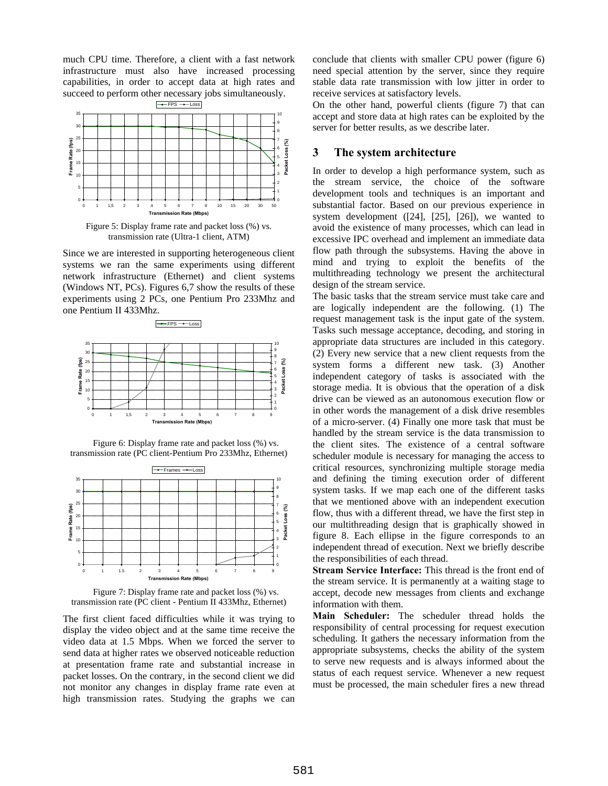much CPU time. Therefore, a client with a fast network infrastructure must also have increased processing capabilities, in order to accept data at high rates and succeed to perform other necessary jobs simultaneously.



Figure 5: Display frame rate and packet loss (%) vs. transmission rate (Ultra-1 client, ATM)

Since we are interested in supporting heterogeneous client systems we ran the same experiments using different network infrastructure (Ethernet) and client systems (Windows NT, PCs). Figures 6,7 show the results of these experiments using 2 PCs, one Pentium Pro 233Mhz and one Pentium II 433Mhz.



Figure 6: Display frame rate and packet loss (%) vs. transmission rate (PC client-Pentium Pro 233Mhz, Ethernet)



Figure 7: Display frame rate and packet loss (%) vs. transmission rate (PC client - Pentium II 433Mhz, Ethernet)

The first client faced difficulties while it was trying to display the video object and at the same time receive the video data at 1.5 Mbps. When we forced the server to send data at higher rates we observed noticeable reduction at presentation frame rate and substantial increase in packet losses. On the contrary, in the second client we did not monitor any changes in display frame rate even at high transmission rates. Studying the graphs we can

conclude that clients with smaller CPU power (figure 6) need special attention by the server, since they require stable data rate transmission with low jitter in order to receive services at satisfactory levels.

On the other hand, powerful clients (figure 7) that can accept and store data at high rates can be exploited by the server for better results, as we describe later.

# **3 The system architecture**

In order to develop a high performance system, such as the stream service, the choice of the software development tools and techniques is an important and substantial factor. Based on our previous experience in system development ([24], [25], [26]), we wanted to avoid the existence of many processes, which can lead in excessive IPC overhead and implement an immediate data flow path through the subsystems. Having the above in mind and trying to exploit the benefits of the multithreading technology we present the architectural design of the stream service.

The basic tasks that the stream service must take care and are logically independent are the following. (1) The request management task is the input gate of the system. Tasks such message acceptance, decoding, and storing in appropriate data structures are included in this category. (2) Every new service that a new client requests from the system forms a different new task. (3) Another independent category of tasks is associated with the storage media. It is obvious that the operation of a disk drive can be viewed as an autonomous execution flow or in other words the management of a disk drive resembles of a micro-server. (4) Finally one more task that must be handled by the stream service is the data transmission to the client sites. The existence of a central software scheduler module is necessary for managing the access to critical resources, synchronizing multiple storage media and defining the timing execution order of different system tasks. If we map each one of the different tasks that we mentioned above with an independent execution flow, thus with a different thread, we have the first step in our multithreading design that is graphically showed in figure 8. Each ellipse in the figure corresponds to an independent thread of execution. Next we briefly describe the responsibilities of each thread.

**Stream Service Interface:** This thread is the front end of the stream service. It is permanently at a waiting stage to accept, decode new messages from clients and exchange information with them.

**Main Scheduler:** The scheduler thread holds the responsibility of central processing for request execution scheduling. It gathers the necessary information from the appropriate subsystems, checks the ability of the system to serve new requests and is always informed about the status of each request service. Whenever a new request must be processed, the main scheduler fires a new thread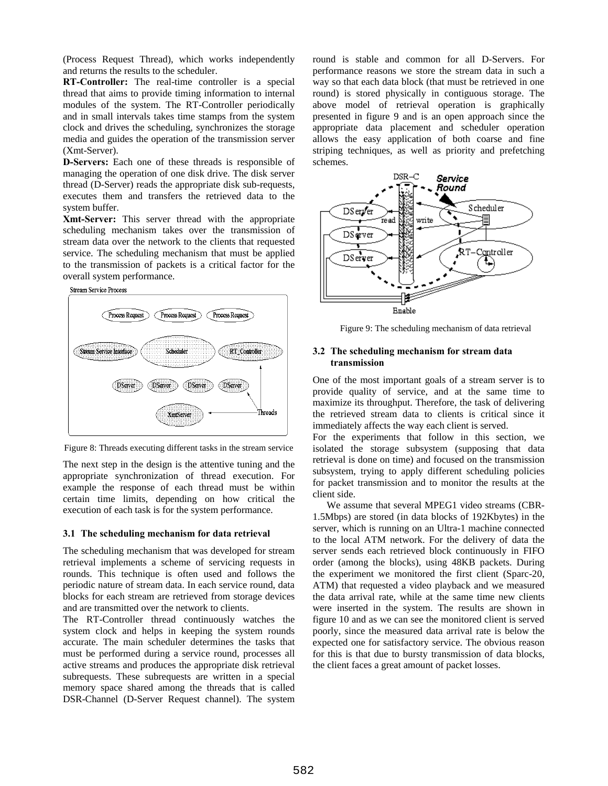(Process Request Thread), which works independently and returns the results to the scheduler.

**RT-Controller:** The real-time controller is a special thread that aims to provide timing information to internal modules of the system. The RT-Controller periodically and in small intervals takes time stamps from the system clock and drives the scheduling, synchronizes the storage media and guides the operation of the transmission server (Xmt-Server).

**D-Servers:** Each one of these threads is responsible of managing the operation of one disk drive. The disk server thread (D-Server) reads the appropriate disk sub-requests, executes them and transfers the retrieved data to the system buffer.

**Xmt-Server:** This server thread with the appropriate scheduling mechanism takes over the transmission of stream data over the network to the clients that requested service. The scheduling mechanism that must be applied to the transmission of packets is a critical factor for the overall system performance.





Figure 8: Threads executing different tasks in the stream service

The next step in the design is the attentive tuning and the appropriate synchronization of thread execution. For example the response of each thread must be within certain time limits, depending on how critical the execution of each task is for the system performance.

#### **3.1 The scheduling mechanism for data retrieval**

The scheduling mechanism that was developed for stream retrieval implements a scheme of servicing requests in rounds. This technique is often used and follows the periodic nature of stream data. In each service round, data blocks for each stream are retrieved from storage devices and are transmitted over the network to clients.

The RT-Controller thread continuously watches the system clock and helps in keeping the system rounds accurate. The main scheduler determines the tasks that must be performed during a service round, processes all active streams and produces the appropriate disk retrieval subrequests. These subrequests are written in a special memory space shared among the threads that is called DSR-Channel (D-Server Request channel). The system

round is stable and common for all D-Servers. For performance reasons we store the stream data in such a way so that each data block (that must be retrieved in one round) is stored physically in contiguous storage. The above model of retrieval operation is graphically presented in figure 9 and is an open approach since the appropriate data placement and scheduler operation allows the easy application of both coarse and fine striping techniques, as well as priority and prefetching schemes.



Figure 9: The scheduling mechanism of data retrieval

#### **3.2 The scheduling mechanism for stream data transmission**

One of the most important goals of a stream server is to provide quality of service, and at the same time to maximize its throughput. Therefore, the task of delivering the retrieved stream data to clients is critical since it immediately affects the way each client is served.

For the experiments that follow in this section, we isolated the storage subsystem (supposing that data retrieval is done on time) and focused on the transmission subsystem, trying to apply different scheduling policies for packet transmission and to monitor the results at the client side.

We assume that several MPEG1 video streams (CBR-1.5Mbps) are stored (in data blocks of 192Kbytes) in the server, which is running on an Ultra-1 machine connected to the local ATM network. For the delivery of data the server sends each retrieved block continuously in FIFO order (among the blocks), using 48KB packets. During the experiment we monitored the first client (Sparc-20, ATM) that requested a video playback and we measured the data arrival rate, while at the same time new clients were inserted in the system. The results are shown in figure 10 and as we can see the monitored client is served poorly, since the measured data arrival rate is below the expected one for satisfactory service. The obvious reason for this is that due to bursty transmission of data blocks, the client faces a great amount of packet losses.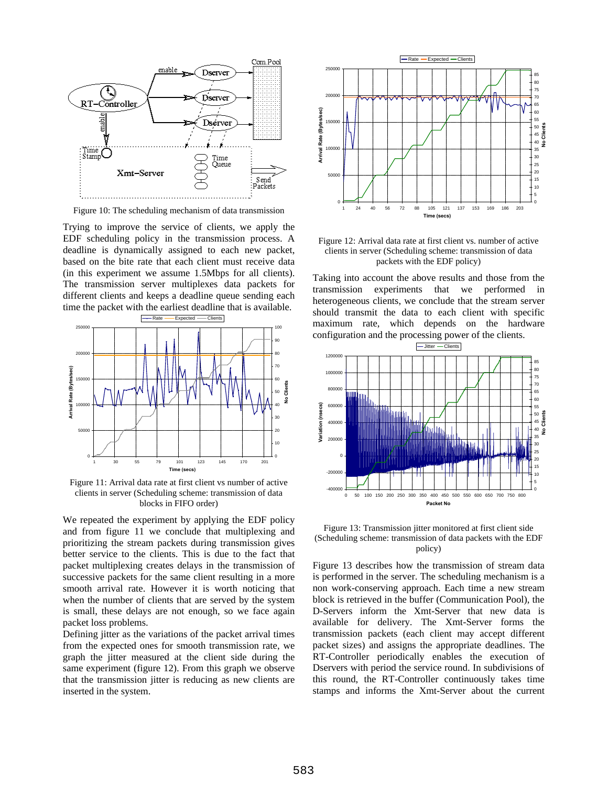

Figure 10: The scheduling mechanism of data transmission

Trying to improve the service of clients, we apply the EDF scheduling policy in the transmission process. A deadline is dynamically assigned to each new packet, based on the bite rate that each client must receive data (in this experiment we assume 1.5Mbps for all clients). The transmission server multiplexes data packets for different clients and keeps a deadline queue sending each time the packet with the earliest deadline that is available.



Figure 11: Arrival data rate at first client vs number of active clients in server (Scheduling scheme: transmission of data blocks in FIFO order)

We repeated the experiment by applying the EDF policy and from figure 11 we conclude that multiplexing and prioritizing the stream packets during transmission gives better service to the clients. This is due to the fact that packet multiplexing creates delays in the transmission of successive packets for the same client resulting in a more smooth arrival rate. However it is worth noticing that when the number of clients that are served by the system is small, these delays are not enough, so we face again packet loss problems.

Defining jitter as the variations of the packet arrival times from the expected ones for smooth transmission rate, we graph the jitter measured at the client side during the same experiment (figure 12). From this graph we observe that the transmission jitter is reducing as new clients are inserted in the system.



Figure 12: Arrival data rate at first client vs. number of active clients in server (Scheduling scheme: transmission of data packets with the EDF policy)

Taking into account the above results and those from the transmission experiments that we performed in heterogeneous clients, we conclude that the stream server should transmit the data to each client with specific maximum rate, which depends on the hardware configuration and the processing power of the clients.



Figure 13: Transmission jitter monitored at first client side (Scheduling scheme: transmission of data packets with the EDF policy)

Figure 13 describes how the transmission of stream data is performed in the server. The scheduling mechanism is a non work-conserving approach. Each time a new stream block is retrieved in the buffer (Communication Pool), the D-Servers inform the Xmt-Server that new data is available for delivery. The Xmt-Server forms the transmission packets (each client may accept different packet sizes) and assigns the appropriate deadlines. The RT-Controller periodically enables the execution of Dservers with period the service round. In subdivisions of this round, the RT-Controller continuously takes time stamps and informs the Xmt-Server about the current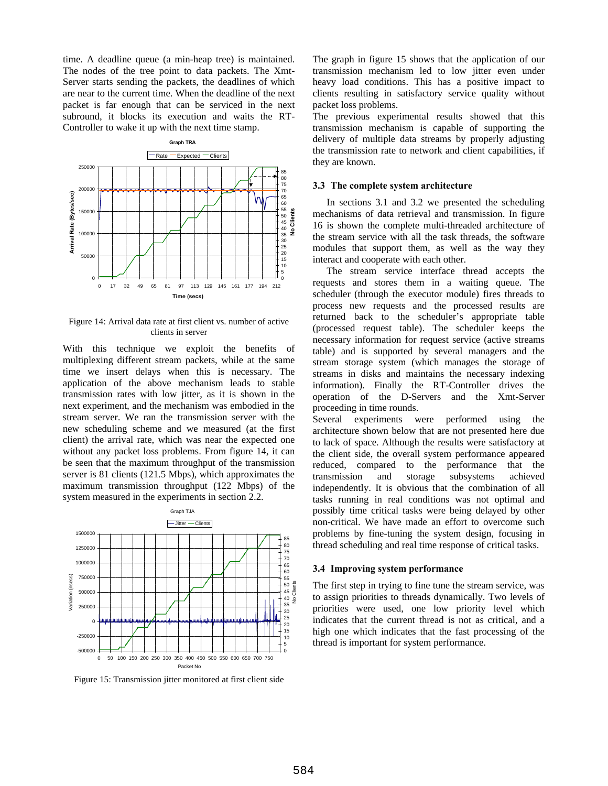time. A deadline queue (a min-heap tree) is maintained. The nodes of the tree point to data packets. The Xmt-Server starts sending the packets, the deadlines of which are near to the current time. When the deadline of the next packet is far enough that can be serviced in the next subround, it blocks its execution and waits the RT-Controller to wake it up with the next time stamp.



Figure 14: Arrival data rate at first client vs. number of active clients in server

With this technique we exploit the benefits of multiplexing different stream packets, while at the same time we insert delays when this is necessary. The application of the above mechanism leads to stable transmission rates with low jitter, as it is shown in the next experiment, and the mechanism was embodied in the stream server. We ran the transmission server with the new scheduling scheme and we measured (at the first client) the arrival rate, which was near the expected one without any packet loss problems. From figure 14, it can be seen that the maximum throughput of the transmission server is 81 clients (121.5 Mbps), which approximates the maximum transmission throughput (122 Mbps) of the system measured in the experiments in section 2.2.



Figure 15: Transmission jitter monitored at first client side

The graph in figure 15 shows that the application of our transmission mechanism led to low jitter even under heavy load conditions. This has a positive impact to clients resulting in satisfactory service quality without packet loss problems.

The previous experimental results showed that this transmission mechanism is capable of supporting the delivery of multiple data streams by properly adjusting the transmission rate to network and client capabilities, if they are known.

#### **3.3 The complete system architecture**

In sections 3.1 and 3.2 we presented the scheduling mechanisms of data retrieval and transmission. In figure 16 is shown the complete multi-threaded architecture of the stream service with all the task threads, the software modules that support them, as well as the way they interact and cooperate with each other.

The stream service interface thread accepts the requests and stores them in a waiting queue. The scheduler (through the executor module) fires threads to process new requests and the processed results are returned back to the scheduler's appropriate table (processed request table). The scheduler keeps the necessary information for request service (active streams table) and is supported by several managers and the stream storage system (which manages the storage of streams in disks and maintains the necessary indexing information). Finally the RT-Controller drives the operation of the D-Servers and the Xmt-Server proceeding in time rounds.

Several experiments were performed using the architecture shown below that are not presented here due to lack of space. Although the results were satisfactory at the client side, the overall system performance appeared reduced, compared to the performance that the transmission and storage subsystems achieved independently. It is obvious that the combination of all tasks running in real conditions was not optimal and possibly time critical tasks were being delayed by other non-critical. We have made an effort to overcome such problems by fine-tuning the system design, focusing in thread scheduling and real time response of critical tasks.

#### **3.4 Improving system performance**

The first step in trying to fine tune the stream service, was to assign priorities to threads dynamically. Two levels of priorities were used, one low priority level which indicates that the current thread is not as critical, and a high one which indicates that the fast processing of the thread is important for system performance.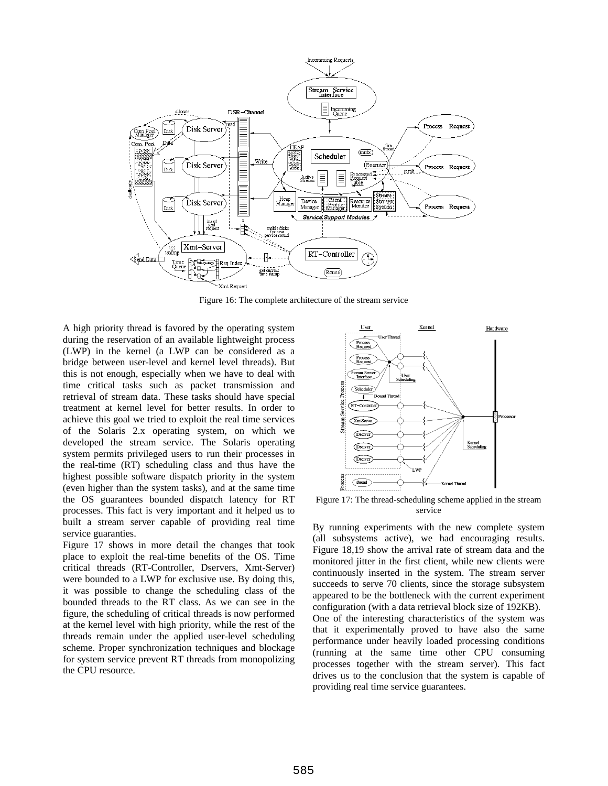

Figure 16: The complete architecture of the stream service

A high priority thread is favored by the operating system during the reservation of an available lightweight process (LWP) in the kernel (a LWP can be considered as a bridge between user-level and kernel level threads). But this is not enough, especially when we have to deal with time critical tasks such as packet transmission and retrieval of stream data. These tasks should have special treatment at kernel level for better results. In order to achieve this goal we tried to exploit the real time services of the Solaris 2.x operating system, on which we developed the stream service. The Solaris operating system permits privileged users to run their processes in the real-time (RT) scheduling class and thus have the highest possible software dispatch priority in the system (even higher than the system tasks), and at the same time the OS guarantees bounded dispatch latency for RT processes. This fact is very important and it helped us to built a stream server capable of providing real time service guaranties.

Figure 17 shows in more detail the changes that took place to exploit the real-time benefits of the OS. Time critical threads (RT-Controller, Dservers, Xmt-Server) were bounded to a LWP for exclusive use. By doing this, it was possible to change the scheduling class of the bounded threads to the RT class. As we can see in the figure, the scheduling of critical threads is now performed at the kernel level with high priority, while the rest of the threads remain under the applied user-level scheduling scheme. Proper synchronization techniques and blockage for system service prevent RT threads from monopolizing the CPU resource.



Figure 17: The thread-scheduling scheme applied in the stream service

By running experiments with the new complete system (all subsystems active), we had encouraging results. Figure 18,19 show the arrival rate of stream data and the monitored jitter in the first client, while new clients were continuously inserted in the system. The stream server succeeds to serve 70 clients, since the storage subsystem appeared to be the bottleneck with the current experiment configuration (with a data retrieval block size of 192KB). One of the interesting characteristics of the system was that it experimentally proved to have also the same performance under heavily loaded processing conditions (running at the same time other CPU consuming processes together with the stream server). This fact drives us to the conclusion that the system is capable of providing real time service guarantees.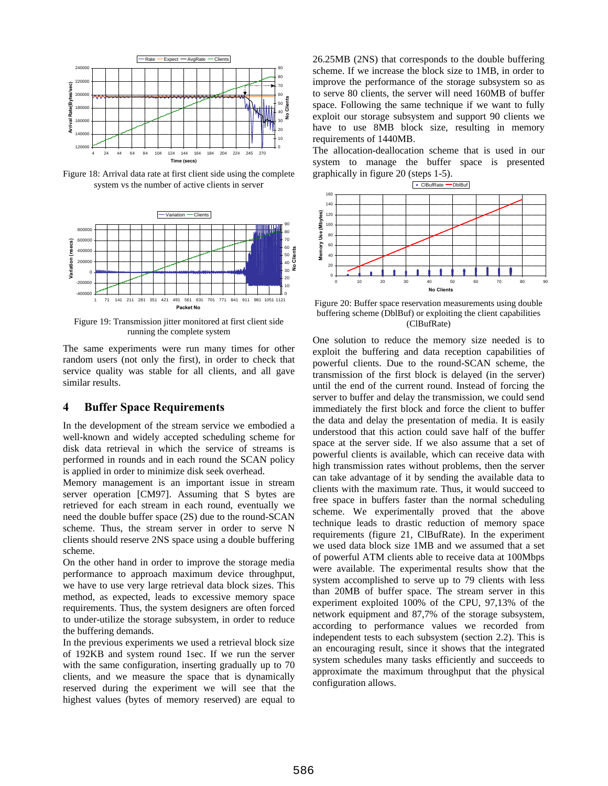

Figure 18: Arrival data rate at first client side using the complete system vs the number of active clients in server



Figure 19: Transmission jitter monitored at first client side running the complete system

The same experiments were run many times for other random users (not only the first), in order to check that service quality was stable for all clients, and all gave similar results.

# **4 Buffer Space Requirements**

In the development of the stream service we embodied a well-known and widely accepted scheduling scheme for disk data retrieval in which the service of streams is performed in rounds and in each round the SCAN policy is applied in order to minimize disk seek overhead.

Memory management is an important issue in stream server operation [CM97]. Assuming that S bytes are retrieved for each stream in each round, eventually we need the double buffer space (2S) due to the round-SCAN scheme. Thus, the stream server in order to serve N clients should reserve 2NS space using a double buffering scheme.

On the other hand in order to improve the storage media performance to approach maximum device throughput, we have to use very large retrieval data block sizes. This method, as expected, leads to excessive memory space requirements. Thus, the system designers are often forced to under-utilize the storage subsystem, in order to reduce the buffering demands.

In the previous experiments we used a retrieval block size of 192KB and system round 1sec. If we run the server with the same configuration, inserting gradually up to 70 clients, and we measure the space that is dynamically reserved during the experiment we will see that the highest values (bytes of memory reserved) are equal to 26.25MB (2NS) that corresponds to the double buffering scheme. If we increase the block size to 1MB, in order to improve the performance of the storage subsystem so as to serve 80 clients, the server will need 160MB of buffer space. Following the same technique if we want to fully exploit our storage subsystem and support 90 clients we have to use 8MB block size, resulting in memory requirements of 1440MB.

The allocation-deallocation scheme that is used in our system to manage the buffer space is presented graphically in figure 20 (steps 1-5).



Figure 20: Buffer space reservation measurements using double buffering scheme (DblBuf) or exploiting the client capabilities (ClBufRate)

One solution to reduce the memory size needed is to exploit the buffering and data reception capabilities of powerful clients. Due to the round-SCAN scheme, the transmission of the first block is delayed (in the server) until the end of the current round. Instead of forcing the server to buffer and delay the transmission, we could send immediately the first block and force the client to buffer the data and delay the presentation of media. It is easily understood that this action could save half of the buffer space at the server side. If we also assume that a set of powerful clients is available, which can receive data with high transmission rates without problems, then the server can take advantage of it by sending the available data to clients with the maximum rate. Thus, it would succeed to free space in buffers faster than the normal scheduling scheme. We experimentally proved that the above technique leads to drastic reduction of memory space requirements (figure 21, ClBufRate). In the experiment we used data block size 1MB and we assumed that a set of powerful ATM clients able to receive data at 100Mbps were available. The experimental results show that the system accomplished to serve up to 79 clients with less than 20MB of buffer space. The stream server in this experiment exploited 100% of the CPU, 97,13% of the network equipment and 87,7% of the storage subsystem, according to performance values we recorded from independent tests to each subsystem (section 2.2). This is an encouraging result, since it shows that the integrated system schedules many tasks efficiently and succeeds to approximate the maximum throughput that the physical configuration allows.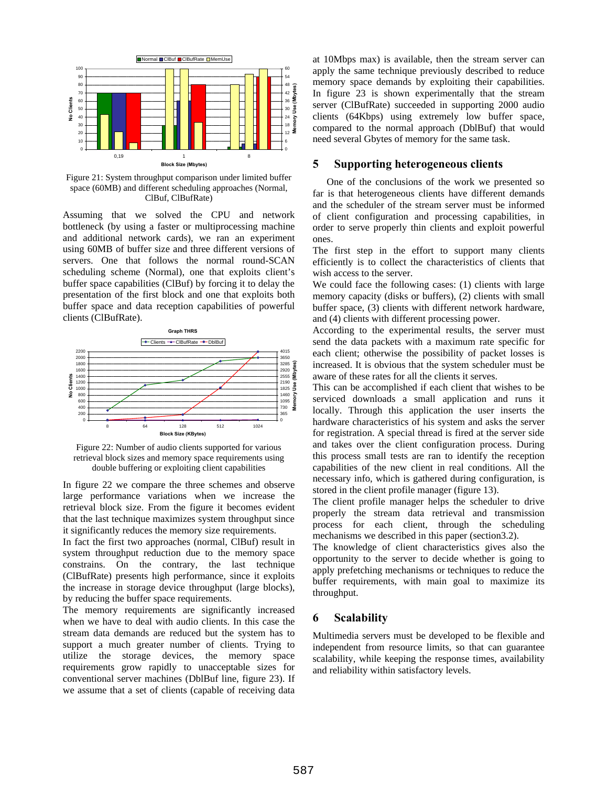

Figure 21: System throughput comparison under limited buffer space (60MB) and different scheduling approaches (Normal, ClBuf, ClBufRate)

Assuming that we solved the CPU and network bottleneck (by using a faster or multiprocessing machine and additional network cards), we ran an experiment using 60MB of buffer size and three different versions of servers. One that follows the normal round-SCAN scheduling scheme (Normal), one that exploits client's buffer space capabilities (ClBuf) by forcing it to delay the presentation of the first block and one that exploits both buffer space and data reception capabilities of powerful clients (ClBufRate).



Figure 22: Number of audio clients supported for various retrieval block sizes and memory space requirements using double buffering or exploiting client capabilities

In figure 22 we compare the three schemes and observe large performance variations when we increase the retrieval block size. From the figure it becomes evident that the last technique maximizes system throughput since it significantly reduces the memory size requirements.

In fact the first two approaches (normal, ClBuf) result in system throughput reduction due to the memory space constrains. On the contrary, the last technique (ClBufRate) presents high performance, since it exploits the increase in storage device throughput (large blocks), by reducing the buffer space requirements.

The memory requirements are significantly increased when we have to deal with audio clients. In this case the stream data demands are reduced but the system has to support a much greater number of clients. Trying to utilize the storage devices, the memory space requirements grow rapidly to unacceptable sizes for conventional server machines (DblBuf line, figure 23). If we assume that a set of clients (capable of receiving data at 10Mbps max) is available, then the stream server can apply the same technique previously described to reduce memory space demands by exploiting their capabilities. In figure 23 is shown experimentally that the stream server (ClBufRate) succeeded in supporting 2000 audio clients (64Kbps) using extremely low buffer space, compared to the normal approach (DblBuf) that would need several Gbytes of memory for the same task.

### **5 Supporting heterogeneous clients**

One of the conclusions of the work we presented so far is that heterogeneous clients have different demands and the scheduler of the stream server must be informed of client configuration and processing capabilities, in order to serve properly thin clients and exploit powerful ones.

The first step in the effort to support many clients efficiently is to collect the characteristics of clients that wish access to the server.

We could face the following cases: (1) clients with large memory capacity (disks or buffers), (2) clients with small buffer space, (3) clients with different network hardware, and (4) clients with different processing power.

According to the experimental results, the server must send the data packets with a maximum rate specific for each client; otherwise the possibility of packet losses is increased. It is obvious that the system scheduler must be aware of these rates for all the clients it serves.

This can be accomplished if each client that wishes to be serviced downloads a small application and runs it locally. Through this application the user inserts the hardware characteristics of his system and asks the server for registration. A special thread is fired at the server side and takes over the client configuration process. During this process small tests are ran to identify the reception capabilities of the new client in real conditions. All the necessary info, which is gathered during configuration, is stored in the client profile manager (figure 13).

The client profile manager helps the scheduler to drive properly the stream data retrieval and transmission process for each client, through the scheduling mechanisms we described in this paper (section3.2).

The knowledge of client characteristics gives also the opportunity to the server to decide whether is going to apply prefetching mechanisms or techniques to reduce the buffer requirements, with main goal to maximize its throughput.

# **6 Scalability**

Multimedia servers must be developed to be flexible and independent from resource limits, so that can guarantee scalability, while keeping the response times, availability and reliability within satisfactory levels.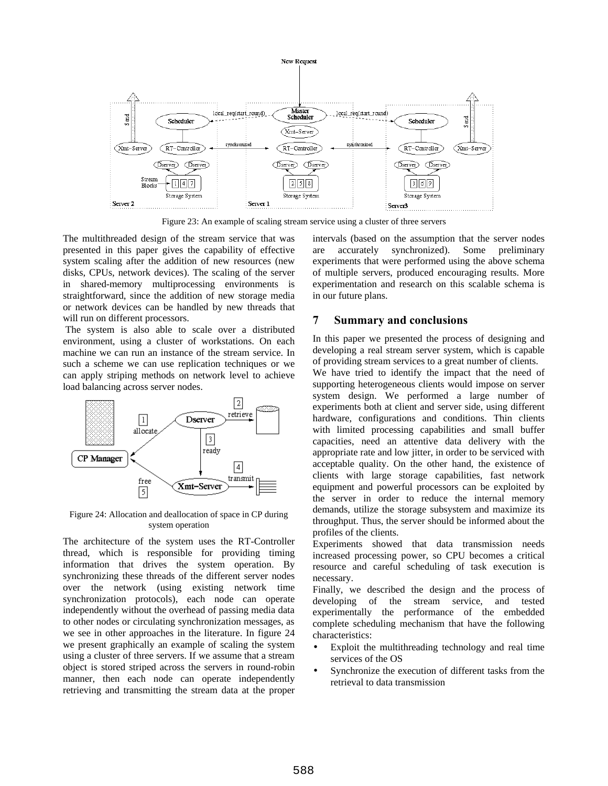

Figure 23: An example of scaling stream service using a cluster of three servers

The multithreaded design of the stream service that was presented in this paper gives the capability of effective system scaling after the addition of new resources (new disks, CPUs, network devices). The scaling of the server in shared-memory multiprocessing environments is straightforward, since the addition of new storage media or network devices can be handled by new threads that will run on different processors.

 The system is also able to scale over a distributed environment, using a cluster of workstations. On each machine we can run an instance of the stream service. In such a scheme we can use replication techniques or we can apply striping methods on network level to achieve load balancing across server nodes.



Figure 24: Allocation and deallocation of space in CP during system operation

The architecture of the system uses the RT-Controller thread, which is responsible for providing timing information that drives the system operation. By synchronizing these threads of the different server nodes over the network (using existing network time synchronization protocols), each node can operate independently without the overhead of passing media data to other nodes or circulating synchronization messages, as we see in other approaches in the literature. In figure 24 we present graphically an example of scaling the system using a cluster of three servers. If we assume that a stream object is stored striped across the servers in round-robin manner, then each node can operate independently retrieving and transmitting the stream data at the proper intervals (based on the assumption that the server nodes are accurately synchronized). Some preliminary experiments that were performed using the above schema of multiple servers, produced encouraging results. More experimentation and research on this scalable schema is in our future plans.

# **7 Summary and conclusions**

In this paper we presented the process of designing and developing a real stream server system, which is capable of providing stream services to a great number of clients.

We have tried to identify the impact that the need of supporting heterogeneous clients would impose on server system design. We performed a large number of experiments both at client and server side, using different hardware, configurations and conditions. Thin clients with limited processing capabilities and small buffer capacities, need an attentive data delivery with the appropriate rate and low jitter, in order to be serviced with acceptable quality. On the other hand, the existence of clients with large storage capabilities, fast network equipment and powerful processors can be exploited by the server in order to reduce the internal memory demands, utilize the storage subsystem and maximize its throughput. Thus, the server should be informed about the profiles of the clients.

Experiments showed that data transmission needs increased processing power, so CPU becomes a critical resource and careful scheduling of task execution is necessary.

Finally, we described the design and the process of developing of the stream service, and tested experimentally the performance of the embedded complete scheduling mechanism that have the following characteristics:

- Exploit the multithreading technology and real time services of the OS
- Synchronize the execution of different tasks from the retrieval to data transmission